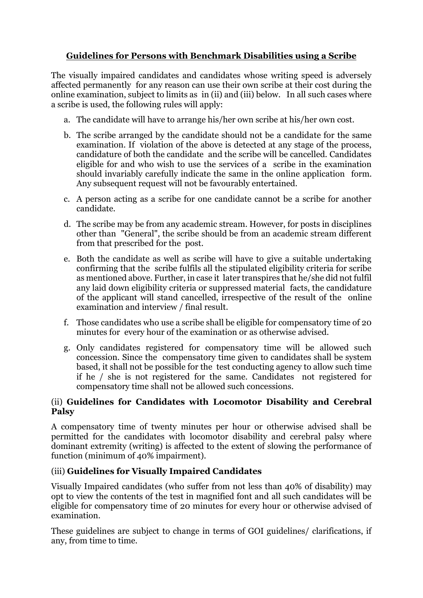## **Guidelines for Persons with Benchmark Disabilities using a Scribe**

The visually impaired candidates and candidates whose writing speed is adversely affected permanently for any reason can use their own scribe at their cost during the online examination, subject to limits as in (ii) and (iii) below. In all such cases where a scribe is used, the following rules will apply:

- a. The candidate will have to arrange his/her own scribe at his/her own cost.
- b. The scribe arranged by the candidate should not be a candidate for the same examination. If violation of the above is detected at any stage of the process, candidature of both the candidate and the scribe will be cancelled. Candidates eligible for and who wish to use the services of a scribe in the examination should invariably carefully indicate the same in the online application form. Any subsequent request will not be favourably entertained.
- c. A person acting as a scribe for one candidate cannot be a scribe for another candidate.
- d. The scribe may be from any academic stream. However, for posts in disciplines other than "General", the scribe should be from an academic stream different from that prescribed for the post.
- e. Both the candidate as well as scribe will have to give a suitable undertaking confirming that the scribe fulfils all the stipulated eligibility criteria for scribe as mentioned above. Further, in case it later transpires that he/she did not fulfil any laid down eligibility criteria or suppressed material facts, the candidature of the applicant will stand cancelled, irrespective of the result of the online examination and interview / final result.
- f. Those candidates who use a scribe shall be eligible for compensatory time of 20 minutes for every hour of the examination or as otherwise advised.
- g. Only candidates registered for compensatory time will be allowed such concession. Since the compensatory time given to candidates shall be system based, it shall not be possible for the test conducting agency to allow such time if he / she is not registered for the same. Candidates not registered for compensatory time shall not be allowed such concessions.

### (ii) **Guidelines for Candidates with Locomotor Disability and Cerebral Palsy**

A compensatory time of twenty minutes per hour or otherwise advised shall be permitted for the candidates with locomotor disability and cerebral palsy where dominant extremity (writing) is affected to the extent of slowing the performance of function (minimum of 40% impairment).

### (iii) **Guidelines for Visually Impaired Candidates**

Visually Impaired candidates (who suffer from not less than 40% of disability) may opt to view the contents of the test in magnified font and all such candidates will be eligible for compensatory time of 20 minutes for every hour or otherwise advised of examination.

These guidelines are subject to change in terms of GOI guidelines/ clarifications, if any, from time to time.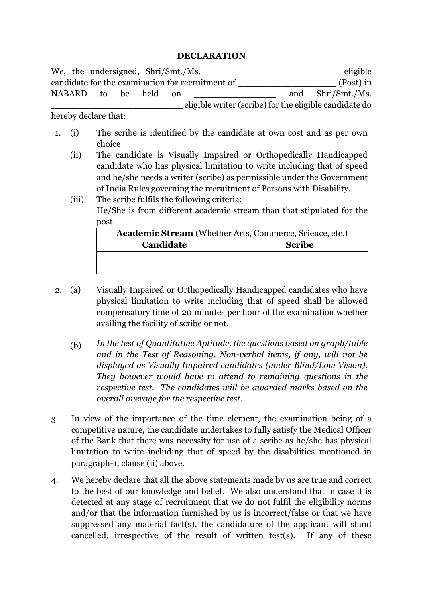#### **DECLARATION**

|                                                  |  |              |  | We, the undersigned, Shri/Smt./Ms. |      |                                                        |           | eligible          |
|--------------------------------------------------|--|--------------|--|------------------------------------|------|--------------------------------------------------------|-----------|-------------------|
| candidate for the examination for recruitment of |  |              |  |                                    |      |                                                        | (Post) in |                   |
|                                                  |  | NABARD to be |  | held                               | -on- |                                                        |           | and Shri/Smt./Ms. |
|                                                  |  |              |  |                                    |      | eligible writer (scribe) for the eligible candidate do |           |                   |

hereby declare that:

- 1. (i) The scribe is identified by the candidate at own cost and as per own choice
	- (ii) The candidate is Visually Impaired or Orthopedically Handicapped candidate who has physical limitation to write including that of speed and he/she needs a writer (scribe) as permissible under the Government of India Rules governing the recruitment of Persons with Disability.
	- (iii) The scribe fulfils the following criteria: He/She is from different academic stream than that stipulated for the post.

| Academic Stream (Whether Arts, Commerce, Science, etc.) |               |  |  |  |  |
|---------------------------------------------------------|---------------|--|--|--|--|
| Candidate                                               | <b>Scribe</b> |  |  |  |  |
|                                                         |               |  |  |  |  |
|                                                         |               |  |  |  |  |

- 2. (a) Visually Impaired or Orthopedically Handicapped candidates who have physical limitation to write including that of speed shall be allowed compensatory time of 20 minutes per hour of the examination whether availing the facility of scribe or not.
	- (b) *In the test of Quantitative Aptitude, the questions based on graph/table and in the Test of Reasoning, Non-verbal items, if any, will not be displayed as Visually Impaired candidates (under Blind/Low Vision). They however would have to attend to remaining questions in the respective test. The candidates will be awarded marks based on the overall average for the respective test.*
- 3. In view of the importance of the time element, the examination being of a competitive nature, the candidate undertakes to fully satisfy the Medical Officer of the Bank that there was necessity for use of a scribe as he/she has physical limitation to write including that of speed by the disabilities mentioned in paragraph-1, clause (ii) above.
- 4. We hereby declare that all the above statements made by us are true and correct to the best of our knowledge and belief. We also understand that in case it is detected at any stage of recruitment that we do not fulfil the eligibility norms and/or that the information furnished by us is incorrect/false or that we have suppressed any material fact(s), the candidature of the applicant will stand cancelled, irrespective of the result of written test(s). If any of these